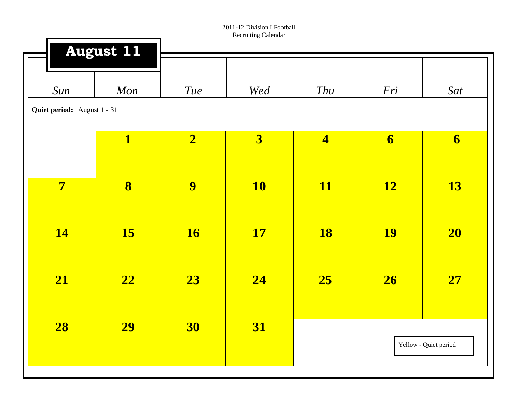|                         | <b>August 11</b>            |                         |                         |                         |                         |                         |  |  |  |  |  |
|-------------------------|-----------------------------|-------------------------|-------------------------|-------------------------|-------------------------|-------------------------|--|--|--|--|--|
| Sun                     | Mon                         | <b>Tue</b>              | Wed                     | Thu                     | Fri                     | Sat                     |  |  |  |  |  |
|                         | Quiet period: August 1 - 31 |                         |                         |                         |                         |                         |  |  |  |  |  |
|                         | $\overline{\mathbf{1}}$     | $\overline{\mathbf{2}}$ | $\overline{\mathbf{3}}$ | $\overline{\mathbf{4}}$ | $\overline{\mathbf{6}}$ | $\overline{\mathbf{6}}$ |  |  |  |  |  |
| $\overline{\mathbf{7}}$ | $\overline{\mathbf{8}}$     | 9                       | <b>10</b>               | <b>11</b>               | <b>12</b>               | <b>13</b>               |  |  |  |  |  |
| <b>14</b>               | <b>15</b>                   | <b>16</b>               | <b>17</b>               | <b>18</b>               | <b>19</b>               | 20                      |  |  |  |  |  |
| 21                      | 22                          | 23                      | 24                      | 25                      | 26                      | 27                      |  |  |  |  |  |
| 28                      | <b>29</b>                   | 30                      | <b>31</b>               |                         |                         | Yellow - Quiet period   |  |  |  |  |  |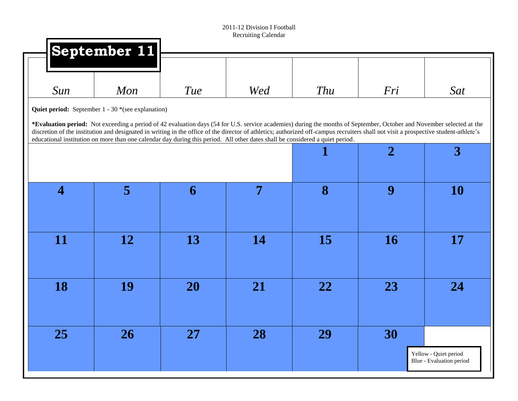|                         | September 11                                                                                                                  |            |     |                                                                                                                                                                                                                                                                                                                                                               |                |                                                   |
|-------------------------|-------------------------------------------------------------------------------------------------------------------------------|------------|-----|---------------------------------------------------------------------------------------------------------------------------------------------------------------------------------------------------------------------------------------------------------------------------------------------------------------------------------------------------------------|----------------|---------------------------------------------------|
|                         |                                                                                                                               |            |     |                                                                                                                                                                                                                                                                                                                                                               |                |                                                   |
| Sun                     | Mon                                                                                                                           | <b>Tue</b> | Wed | <b>Thu</b>                                                                                                                                                                                                                                                                                                                                                    | Fri            | <b>Sat</b>                                        |
|                         | <b>Quiet period:</b> September 1 - 30 *(see explanation)                                                                      |            |     |                                                                                                                                                                                                                                                                                                                                                               |                |                                                   |
|                         |                                                                                                                               |            |     | *Evaluation period: Not exceeding a period of 42 evaluation days (54 for U.S. service academies) during the months of September, October and November selected at the<br>discretion of the institution and designated in writing in the office of the director of athletics; authorized off-campus recruiters shall not visit a prospective student-athlete's |                |                                                   |
|                         | educational institution on more than one calendar day during this period. All other dates shall be considered a quiet period. |            |     |                                                                                                                                                                                                                                                                                                                                                               | $\overline{2}$ | 3                                                 |
|                         |                                                                                                                               |            |     |                                                                                                                                                                                                                                                                                                                                                               |                |                                                   |
|                         |                                                                                                                               |            |     |                                                                                                                                                                                                                                                                                                                                                               |                |                                                   |
| $\overline{\mathbf{4}}$ | 5                                                                                                                             | 6          | 7   | 8                                                                                                                                                                                                                                                                                                                                                             | 9              | <b>10</b>                                         |
|                         |                                                                                                                               |            |     |                                                                                                                                                                                                                                                                                                                                                               |                |                                                   |
| 11                      | 12                                                                                                                            | 13         | 14  | 15                                                                                                                                                                                                                                                                                                                                                            | <b>16</b>      | <b>17</b>                                         |
|                         |                                                                                                                               |            |     |                                                                                                                                                                                                                                                                                                                                                               |                |                                                   |
|                         |                                                                                                                               |            |     |                                                                                                                                                                                                                                                                                                                                                               |                |                                                   |
| 18                      | 19                                                                                                                            | 20         | 21  | 22                                                                                                                                                                                                                                                                                                                                                            | 23             | 24                                                |
|                         |                                                                                                                               |            |     |                                                                                                                                                                                                                                                                                                                                                               |                |                                                   |
|                         |                                                                                                                               |            |     |                                                                                                                                                                                                                                                                                                                                                               |                |                                                   |
| 25                      | <b>26</b>                                                                                                                     | 27         | 28  | 29                                                                                                                                                                                                                                                                                                                                                            | 30             |                                                   |
|                         |                                                                                                                               |            |     |                                                                                                                                                                                                                                                                                                                                                               |                | Yellow - Quiet period<br>Blue - Evaluation period |
|                         |                                                                                                                               |            |     |                                                                                                                                                                                                                                                                                                                                                               |                |                                                   |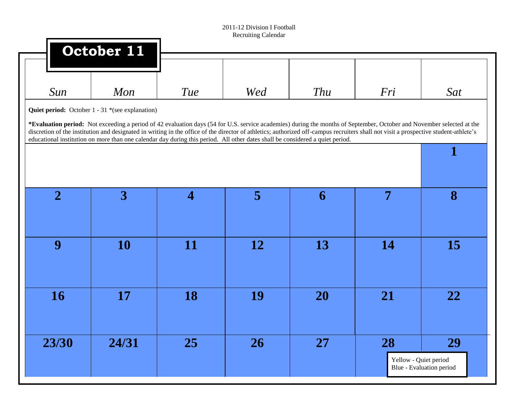|                | October 11                                                                                                                                                                                                                                                                                                                                                    |                          |           |           |                       |                          |
|----------------|---------------------------------------------------------------------------------------------------------------------------------------------------------------------------------------------------------------------------------------------------------------------------------------------------------------------------------------------------------------|--------------------------|-----------|-----------|-----------------------|--------------------------|
| Sun            | Mon                                                                                                                                                                                                                                                                                                                                                           | <b>Tue</b>               | Wed       | Thu       | Fri                   | Sat                      |
|                | <b>Quiet period:</b> October 1 - 31 *(see explanation)                                                                                                                                                                                                                                                                                                        |                          |           |           |                       |                          |
|                | *Evaluation period: Not exceeding a period of 42 evaluation days (54 for U.S. service academies) during the months of September, October and November selected at the<br>discretion of the institution and designated in writing in the office of the director of athletics; authorized off-campus recruiters shall not visit a prospective student-athlete's |                          |           |           |                       |                          |
|                | educational institution on more than one calendar day during this period. All other dates shall be considered a quiet period.                                                                                                                                                                                                                                 |                          |           |           |                       | $\mathbf 1$              |
|                |                                                                                                                                                                                                                                                                                                                                                               |                          |           |           |                       |                          |
|                |                                                                                                                                                                                                                                                                                                                                                               |                          |           |           |                       |                          |
| $\overline{2}$ | 3                                                                                                                                                                                                                                                                                                                                                             | $\overline{\mathcal{A}}$ | 5         | 6         | 7                     | 8                        |
|                |                                                                                                                                                                                                                                                                                                                                                               |                          |           |           |                       |                          |
| 9              | <b>10</b>                                                                                                                                                                                                                                                                                                                                                     | <b>11</b>                | <b>12</b> | 13        | 14                    | 15                       |
|                |                                                                                                                                                                                                                                                                                                                                                               |                          |           |           |                       |                          |
|                |                                                                                                                                                                                                                                                                                                                                                               |                          |           |           |                       |                          |
| <b>16</b>      | 17                                                                                                                                                                                                                                                                                                                                                            | 18                       | 19        | <b>20</b> | 21                    | 22                       |
|                |                                                                                                                                                                                                                                                                                                                                                               |                          |           |           |                       |                          |
| 23/30          | 24/31                                                                                                                                                                                                                                                                                                                                                         | 25                       | 26        | <b>27</b> | 28                    | 29                       |
|                |                                                                                                                                                                                                                                                                                                                                                               |                          |           |           | Yellow - Quiet period |                          |
|                |                                                                                                                                                                                                                                                                                                                                                               |                          |           |           |                       | Blue - Evaluation period |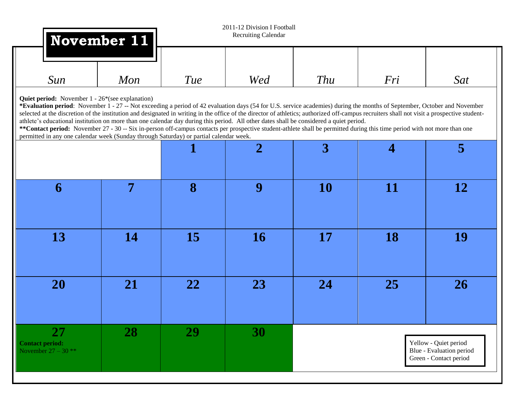|                                                                                                                                                                                                                                                                                                                                                                                                                                                                                                                                                                                                                                                                                                                                                                                                                                                                  | November 11 |     | 2011-12 Division I Football<br><b>Recruiting Calendar</b> |                |                |                                                                             |
|------------------------------------------------------------------------------------------------------------------------------------------------------------------------------------------------------------------------------------------------------------------------------------------------------------------------------------------------------------------------------------------------------------------------------------------------------------------------------------------------------------------------------------------------------------------------------------------------------------------------------------------------------------------------------------------------------------------------------------------------------------------------------------------------------------------------------------------------------------------|-------------|-----|-----------------------------------------------------------|----------------|----------------|-----------------------------------------------------------------------------|
|                                                                                                                                                                                                                                                                                                                                                                                                                                                                                                                                                                                                                                                                                                                                                                                                                                                                  |             |     |                                                           |                |                |                                                                             |
| Sun                                                                                                                                                                                                                                                                                                                                                                                                                                                                                                                                                                                                                                                                                                                                                                                                                                                              | Mon         | Tue | Wed                                                       | Thu            | Fri            | Sat                                                                         |
| <b>Quiet period:</b> November 1 - 26 <sup>*</sup> (see explanation)<br>*Evaluation period: November 1 - 27 -- Not exceeding a period of 42 evaluation days (54 for U.S. service academies) during the months of September, October and November<br>selected at the discretion of the institution and designated in writing in the office of the director of athletics; authorized off-campus recruiters shall not visit a prospective student-<br>athlete's educational institution on more than one calendar day during this period. All other dates shall be considered a quiet period.<br>**Contact period: November 27 - 30 -- Six in-person off-campus contacts per prospective student-athlete shall be permitted during this time period with not more than one<br>permitted in any one calendar week (Sunday through Saturday) or partial calendar week. |             |     |                                                           |                |                |                                                                             |
|                                                                                                                                                                                                                                                                                                                                                                                                                                                                                                                                                                                                                                                                                                                                                                                                                                                                  |             |     | $\overline{2}$                                            | $\overline{3}$ | $\overline{4}$ | 5                                                                           |
| 6                                                                                                                                                                                                                                                                                                                                                                                                                                                                                                                                                                                                                                                                                                                                                                                                                                                                | 7           | 8   | 9                                                         | <b>10</b>      | 11             | <b>12</b>                                                                   |
| 13                                                                                                                                                                                                                                                                                                                                                                                                                                                                                                                                                                                                                                                                                                                                                                                                                                                               | <b>14</b>   | 15  | <b>16</b>                                                 | 17             | <b>18</b>      | <b>19</b>                                                                   |
| <b>20</b>                                                                                                                                                                                                                                                                                                                                                                                                                                                                                                                                                                                                                                                                                                                                                                                                                                                        | 21          | 22  | 23                                                        | 24             | <b>25</b>      | <b>26</b>                                                                   |
| 27<br><b>Contact period:</b><br>November $27 - 30$ **                                                                                                                                                                                                                                                                                                                                                                                                                                                                                                                                                                                                                                                                                                                                                                                                            | 28          | 29  | <b>30</b>                                                 |                |                | Yellow - Quiet period<br>Blue - Evaluation period<br>Green - Contact period |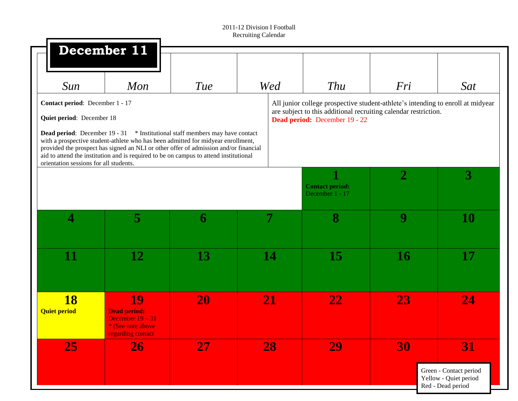|                                                                                                        | December 11                                                                                                                                                                                                                                                                                                                                              |     |     |                                                                                                                                                                                     |                |                                                                                   |
|--------------------------------------------------------------------------------------------------------|----------------------------------------------------------------------------------------------------------------------------------------------------------------------------------------------------------------------------------------------------------------------------------------------------------------------------------------------------------|-----|-----|-------------------------------------------------------------------------------------------------------------------------------------------------------------------------------------|----------------|-----------------------------------------------------------------------------------|
| Sun                                                                                                    | Mon                                                                                                                                                                                                                                                                                                                                                      | Tue | Wed | Thu                                                                                                                                                                                 | Fri            | <b>Sat</b>                                                                        |
| Contact period: December 1 - 17<br>Quiet period: December 18<br>orientation sessions for all students. | <b>Dead period:</b> December 19 - 31 * Institutional staff members may have contact<br>with a prospective student-athlete who has been admitted for midyear enrollment,<br>provided the prospect has signed an NLI or other offer of admission and/or financial<br>aid to attend the institution and is required to be on campus to attend institutional |     |     | All junior college prospective student-athlete's intending to enroll at midyear<br>are subject to this additional recruiting calendar restriction.<br>Dead period: December 19 - 22 |                |                                                                                   |
|                                                                                                        |                                                                                                                                                                                                                                                                                                                                                          |     |     | <b>Contact period:</b><br>December 1 - 17                                                                                                                                           | $\overline{2}$ | 3                                                                                 |
| 4                                                                                                      | 5                                                                                                                                                                                                                                                                                                                                                        | 6   |     | 8                                                                                                                                                                                   | 9              | 10                                                                                |
| 11                                                                                                     | 12                                                                                                                                                                                                                                                                                                                                                       | 13  | 14  | <b>15</b>                                                                                                                                                                           | <b>16</b>      | 17                                                                                |
| <b>18</b><br><b>Quiet period</b>                                                                       | 19<br><b>Dead period:</b><br>December $19 - 31$<br>* (See note above<br>regarding contact                                                                                                                                                                                                                                                                | 20  | 21  | 22                                                                                                                                                                                  | 23             | 24                                                                                |
| 25                                                                                                     | 26                                                                                                                                                                                                                                                                                                                                                       | 27  | 28  | 29                                                                                                                                                                                  | 30             | <b>31</b><br>Green - Contact period<br>Yellow - Quiet period<br>Red - Dead period |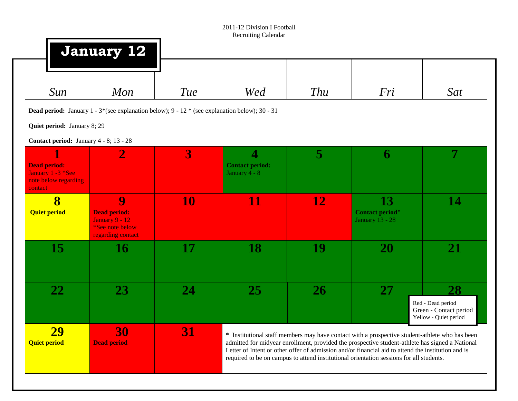|                                                                             | January 12                                                                                                                         |           |                                                                    |            |                                                                                                                                                                                                                                                                                                                                                                                                    |                                                                            |
|-----------------------------------------------------------------------------|------------------------------------------------------------------------------------------------------------------------------------|-----------|--------------------------------------------------------------------|------------|----------------------------------------------------------------------------------------------------------------------------------------------------------------------------------------------------------------------------------------------------------------------------------------------------------------------------------------------------------------------------------------------------|----------------------------------------------------------------------------|
| Sun                                                                         | Mon                                                                                                                                | Tue       | Wed                                                                | <b>Thu</b> | Fri                                                                                                                                                                                                                                                                                                                                                                                                | Sat                                                                        |
|                                                                             | <b>Dead period:</b> January $1 - 3$ <sup>*</sup> (see explanation below); $9 - 12$ <sup>*</sup> (see explanation below); $30 - 31$ |           |                                                                    |            |                                                                                                                                                                                                                                                                                                                                                                                                    |                                                                            |
| Quiet period: January 8; 29                                                 |                                                                                                                                    |           |                                                                    |            |                                                                                                                                                                                                                                                                                                                                                                                                    |                                                                            |
| Contact period: January 4 - 8; 13 - 28                                      |                                                                                                                                    |           |                                                                    |            |                                                                                                                                                                                                                                                                                                                                                                                                    |                                                                            |
| <b>Dead period:</b><br>January 1 -3 *See<br>note below regarding<br>contact | $\bf{2}$                                                                                                                           | 3         | $\overline{\mathbf{4}}$<br><b>Contact period:</b><br>January 4 - 8 | 5          | 6                                                                                                                                                                                                                                                                                                                                                                                                  | 7                                                                          |
| $\overline{\mathbf{8}}$<br><b>Quiet period</b>                              | 9<br><b>Dead period:</b><br><b>January 9 - 12</b><br>*See note below<br>regarding contact                                          | <b>10</b> | 11                                                                 | <u>12</u>  | 13<br><b>Contact period"</b><br><b>January 13 - 28</b>                                                                                                                                                                                                                                                                                                                                             | 14                                                                         |
| <b>15</b>                                                                   | <b>16</b>                                                                                                                          | 17        | <b>18</b>                                                          | 19         | <b>20</b>                                                                                                                                                                                                                                                                                                                                                                                          | 21                                                                         |
| 22                                                                          | <b>23</b>                                                                                                                          | 24        | <b>25</b>                                                          | <b>26</b>  | 27                                                                                                                                                                                                                                                                                                                                                                                                 | 28<br>Red - Dead period<br>Green - Contact period<br>Yellow - Quiet period |
| <b>29</b><br><b>Quiet period</b>                                            | 30<br><b>Dead period</b>                                                                                                           | <b>31</b> |                                                                    |            | * Institutional staff members may have contact with a prospective student-athlete who has been<br>admitted for midyear enrollment, provided the prospective student-athlete has signed a National<br>Letter of Intent or other offer of admission and/or financial aid to attend the institution and is<br>required to be on campus to attend institutional orientation sessions for all students. |                                                                            |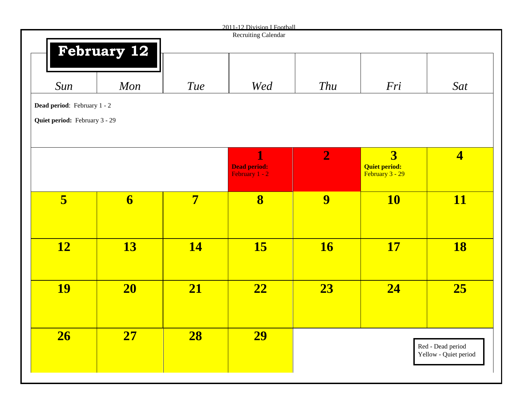|                               |                         |                | 2011-12 Division I Football |                |                      |                         |
|-------------------------------|-------------------------|----------------|-----------------------------|----------------|----------------------|-------------------------|
|                               |                         |                | Recruiting Calendar         |                |                      |                         |
|                               | <b>February 12</b>      |                |                             |                |                      |                         |
|                               |                         |                |                             |                |                      |                         |
|                               |                         |                |                             |                |                      |                         |
|                               |                         |                |                             |                |                      |                         |
| Sun                           | Mon                     | <b>Tue</b>     | Wed                         | Thu            | Fri                  | Sat                     |
|                               |                         |                |                             |                |                      |                         |
| Dead period: February 1 - 2   |                         |                |                             |                |                      |                         |
|                               |                         |                |                             |                |                      |                         |
| Quiet period: February 3 - 29 |                         |                |                             |                |                      |                         |
|                               |                         |                |                             |                |                      |                         |
|                               |                         |                |                             |                |                      |                         |
|                               |                         |                | $\mathbf{1}$                | $\overline{2}$ | $\overline{3}$       | $\overline{\mathbf{4}}$ |
|                               |                         |                | <b>Dead period:</b>         |                | <b>Quiet period:</b> |                         |
|                               |                         |                | February 1 - 2              |                | February 3 - 29      |                         |
|                               |                         |                |                             |                |                      |                         |
|                               |                         |                |                             |                |                      |                         |
| 5                             | $\overline{\mathbf{6}}$ | $\overline{7}$ | $\overline{\mathbf{8}}$     | 9              | <b>10</b>            | <b>11</b>               |
|                               |                         |                |                             |                |                      |                         |
|                               |                         |                |                             |                |                      |                         |
|                               |                         |                |                             |                |                      |                         |
|                               |                         |                |                             |                |                      |                         |
| <b>12</b>                     | <b>13</b>               | <b>14</b>      | <b>15</b>                   | <b>16</b>      | <b>17</b>            | <b>18</b>               |
|                               |                         |                |                             |                |                      |                         |
|                               |                         |                |                             |                |                      |                         |
|                               |                         |                |                             |                |                      |                         |
| <b>19</b>                     | 20                      | 21             | $\boxed{22}$                | 23             | $\overline{24}$      | 25                      |
|                               |                         |                |                             |                |                      |                         |
|                               |                         |                |                             |                |                      |                         |
|                               |                         |                |                             |                |                      |                         |
|                               |                         |                |                             |                |                      |                         |
| 26                            | 27                      | 28             | <b>29</b>                   |                |                      |                         |
|                               |                         |                |                             |                |                      | Red - Dead period       |
|                               |                         |                |                             |                |                      | Yellow - Quiet period   |
|                               |                         |                |                             |                |                      |                         |
|                               |                         |                |                             |                |                      |                         |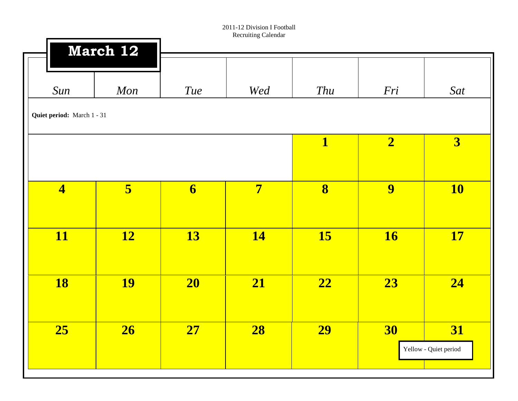|                            | March 12  |                         |                |                         |                |                       |
|----------------------------|-----------|-------------------------|----------------|-------------------------|----------------|-----------------------|
| Sun                        | Mon       | <b>Tue</b>              | Wed            | Thu                     | Fri            | Sat                   |
| Quiet period: March 1 - 31 |           |                         |                |                         |                |                       |
|                            |           |                         |                | $\mathbf{1}$            | $\overline{2}$ | 3                     |
| $\overline{\mathbf{4}}$    | 5         | $\overline{\mathbf{6}}$ | $\overline{7}$ | $\overline{\mathbf{8}}$ | 9              | <b>10</b>             |
|                            |           |                         |                |                         |                |                       |
| <b>11</b>                  | <b>12</b> | 13                      | <b>14</b>      | <b>15</b>               | <b>16</b>      | <b>17</b>             |
| <b>18</b>                  | <b>19</b> | 20                      | 21             | $\overline{22}$         | 23             | 24                    |
|                            |           |                         |                |                         |                |                       |
| 25                         | 26        | 27                      | 28             | <b>29</b>               | 30             | 31                    |
|                            |           |                         |                |                         |                | Yellow - Quiet period |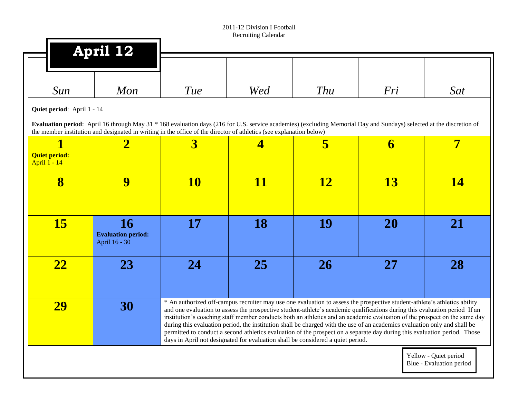|                                                               | April 12                                                |                                                                                                                                                                                                                                                                                             |           |                                                                                                                                                                                                                                                                                                                                                                                                                                                                                                                                                                                                                                                                                                                                   |           |                                                   |
|---------------------------------------------------------------|---------------------------------------------------------|---------------------------------------------------------------------------------------------------------------------------------------------------------------------------------------------------------------------------------------------------------------------------------------------|-----------|-----------------------------------------------------------------------------------------------------------------------------------------------------------------------------------------------------------------------------------------------------------------------------------------------------------------------------------------------------------------------------------------------------------------------------------------------------------------------------------------------------------------------------------------------------------------------------------------------------------------------------------------------------------------------------------------------------------------------------------|-----------|---------------------------------------------------|
| Sun                                                           | Mon                                                     | Tue                                                                                                                                                                                                                                                                                         | Wed       | <b>Thu</b>                                                                                                                                                                                                                                                                                                                                                                                                                                                                                                                                                                                                                                                                                                                        | Fri       | Sat                                               |
| Quiet period: April 1 - 14                                    |                                                         | Evaluation period: April 16 through May 31 * 168 evaluation days (216 for U.S. service academies) (excluding Memorial Day and Sundays) selected at the discretion of<br>the member institution and designated in writing in the office of the director of athletics (see explanation below) |           |                                                                                                                                                                                                                                                                                                                                                                                                                                                                                                                                                                                                                                                                                                                                   |           |                                                   |
| $\blacksquare$<br><b>Quiet period:</b><br><b>April 1 - 14</b> | $\overline{\mathbf{2}}$                                 | $\overline{\mathbf{3}}$                                                                                                                                                                                                                                                                     | 4         | 5                                                                                                                                                                                                                                                                                                                                                                                                                                                                                                                                                                                                                                                                                                                                 | 6         | $\overline{7}$                                    |
| 8                                                             | 9                                                       | <b>10</b>                                                                                                                                                                                                                                                                                   | <b>11</b> | <u>12</u>                                                                                                                                                                                                                                                                                                                                                                                                                                                                                                                                                                                                                                                                                                                         | <b>13</b> | <b>14</b>                                         |
| <b>15</b>                                                     | <b>16</b><br><b>Evaluation period:</b><br>April 16 - 30 | 17                                                                                                                                                                                                                                                                                          | 18        | 19                                                                                                                                                                                                                                                                                                                                                                                                                                                                                                                                                                                                                                                                                                                                | <b>20</b> | 21                                                |
| 22                                                            | 23                                                      | 24                                                                                                                                                                                                                                                                                          | 25        | 26                                                                                                                                                                                                                                                                                                                                                                                                                                                                                                                                                                                                                                                                                                                                | 27        | 28                                                |
| 29                                                            | 30                                                      |                                                                                                                                                                                                                                                                                             |           | * An authorized off-campus recruiter may use one evaluation to assess the prospective student-athlete's athletics ability<br>and one evaluation to assess the prospective student-athlete's academic qualifications during this evaluation period If an<br>institution's coaching staff member conducts both an athletics and an academic evaluation of the prospect on the same day<br>during this evaluation period, the institution shall be charged with the use of an academics evaluation only and shall be<br>permitted to conduct a second athletics evaluation of the prospect on a separate day during this evaluation period. Those<br>days in April not designated for evaluation shall be considered a quiet period. |           |                                                   |
|                                                               |                                                         |                                                                                                                                                                                                                                                                                             |           |                                                                                                                                                                                                                                                                                                                                                                                                                                                                                                                                                                                                                                                                                                                                   |           | Yellow - Quiet period<br>Blue - Evaluation period |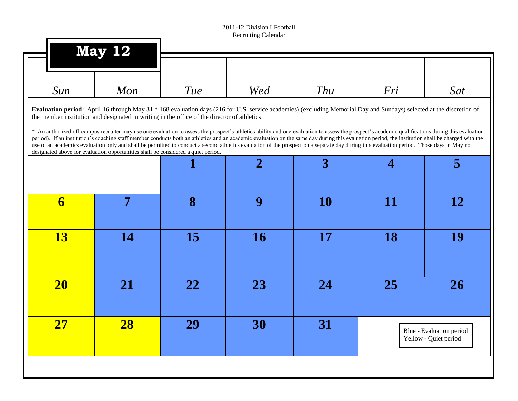|                         | <b>May 12</b>                                                                                                                                                                                                                                                                                                                                                                                                                                                                                                                                                                                                                                                                                                                                                                                                                                                                |            |                |           |           |                                                   |
|-------------------------|------------------------------------------------------------------------------------------------------------------------------------------------------------------------------------------------------------------------------------------------------------------------------------------------------------------------------------------------------------------------------------------------------------------------------------------------------------------------------------------------------------------------------------------------------------------------------------------------------------------------------------------------------------------------------------------------------------------------------------------------------------------------------------------------------------------------------------------------------------------------------|------------|----------------|-----------|-----------|---------------------------------------------------|
| Sun                     | Mon                                                                                                                                                                                                                                                                                                                                                                                                                                                                                                                                                                                                                                                                                                                                                                                                                                                                          | <b>Tue</b> | Wed            | Thu       | Fri       | Sat                                               |
|                         | Evaluation period: April 16 through May 31 * 168 evaluation days (216 for U.S. service academies) (excluding Memorial Day and Sundays) selected at the discretion of<br>the member institution and designated in writing in the office of the director of athletics.<br>* An authorized off-campus recruiter may use one evaluation to assess the prospect's athletics ability and one evaluation to assess the prospect's academic qualifications during this evaluation<br>period). If an institution's coaching staff member conducts both an athletics and an academic evaluation on the same day during this evaluation period, the institution shall be charged with the<br>use of an academics evaluation only and shall be permitted to conduct a second athletics evaluation of the prospect on a separate day during this evaluation period. Those days in May not |            |                |           |           |                                                   |
|                         | designated above for evaluation opportunities shall be considered a quiet period.                                                                                                                                                                                                                                                                                                                                                                                                                                                                                                                                                                                                                                                                                                                                                                                            |            | $\overline{2}$ | 3         | 4         | 5                                                 |
| $\overline{\mathbf{6}}$ | 7                                                                                                                                                                                                                                                                                                                                                                                                                                                                                                                                                                                                                                                                                                                                                                                                                                                                            | 8          | 9              | <b>10</b> | <b>11</b> | 12                                                |
| <b>13</b>               | 14                                                                                                                                                                                                                                                                                                                                                                                                                                                                                                                                                                                                                                                                                                                                                                                                                                                                           | 15         | <b>16</b>      | 17        | 18        | 19                                                |
| <b>20</b>               | 21                                                                                                                                                                                                                                                                                                                                                                                                                                                                                                                                                                                                                                                                                                                                                                                                                                                                           | 22         | 23             | 24        | 25        | 26                                                |
| <b>27</b>               | 28                                                                                                                                                                                                                                                                                                                                                                                                                                                                                                                                                                                                                                                                                                                                                                                                                                                                           | 29         | 30             | 31        |           | Blue - Evaluation period<br>Yellow - Quiet period |
|                         |                                                                                                                                                                                                                                                                                                                                                                                                                                                                                                                                                                                                                                                                                                                                                                                                                                                                              |            |                |           |           |                                                   |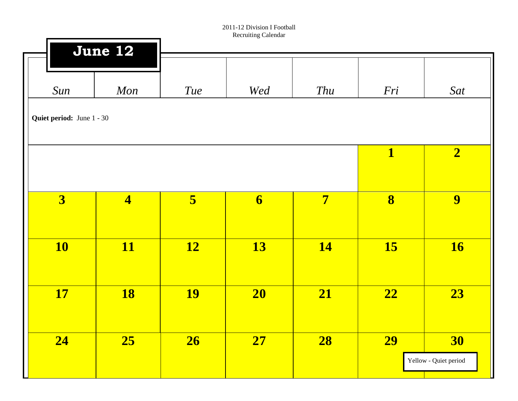п

|                                  | June 12                 |           |                         |                |                         |                       |
|----------------------------------|-------------------------|-----------|-------------------------|----------------|-------------------------|-----------------------|
|                                  |                         |           |                         |                |                         |                       |
| Sun                              | Mon                     | Tue       | Wed                     | Thu            | Fri                     | Sat                   |
| <b>Quiet period:</b> June 1 - 30 |                         |           |                         |                |                         |                       |
|                                  |                         |           |                         |                |                         |                       |
|                                  |                         |           |                         |                | $\overline{\mathbf{1}}$ | $\boxed{2}$           |
|                                  |                         |           |                         |                |                         |                       |
| $\overline{\mathbf{3}}$          | $\overline{\mathbf{4}}$ | 5         | $\overline{\mathbf{6}}$ | $\overline{7}$ | $\overline{\mathbf{8}}$ | 9                     |
|                                  |                         |           |                         |                |                         |                       |
| <b>10</b>                        | <b>11</b>               | <b>12</b> | <b>13</b>               | <b>14</b>      | 15                      | <b>16</b>             |
|                                  |                         |           |                         |                |                         |                       |
| <b>17</b>                        | <b>18</b>               | <b>19</b> | 20                      | 21             | $\overline{22}$         | 23                    |
|                                  |                         |           |                         |                |                         |                       |
| 24                               | 25                      | 26        | 27                      | 28             | <b>29</b>               | <b>30</b>             |
|                                  |                         |           |                         |                |                         | Yellow - Quiet period |